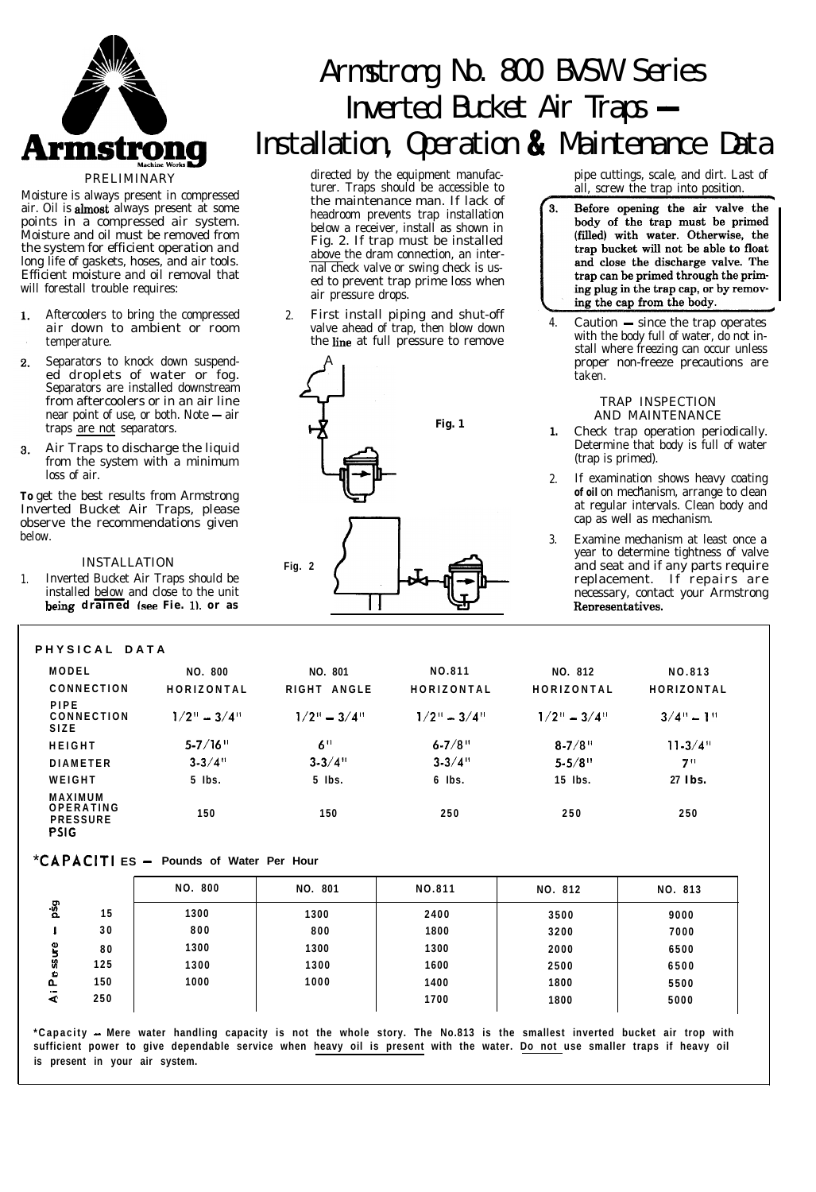

Moisture is always present in compressed air. Oil is *almost* always present at some points in a compressed air system. Moisture and oil must be removed from the system for efficient operation and long life of gaskets, hoses, and air tools. Efficient moisture and oil removal that will forestall trouble requires:

- Aftercoolers to bring the compressed air down to ambient or room temperature.
- $2<sup>1</sup>$ Separators to knock down suspended droplets of water or fog. Separators are installed downstream from aftercoolers or in an air line near point of use, or both. Note  $-$  air traps are not separators.
- Air Traps to discharge the liquid  $\mathbf{R}$ from the system with a minimum loss of air.

**To** get the best results from Armstrong Inverted Bucket Air Traps, please observe the recommendations given below.

#### INSTALLATION

1. Inverted Bucket Air Traps should be installed below and close to the unit

#### **PHYSICAL DATA**

# Armstrong No. 800 BVSW Series **mstrong No. 800 BVSW Seri<br>Inverted Bucket Air Traps — Installation, Operation & Maintenance Data**

directed by the equipment manufacturer. Traps should be accessible to the maintenance man. If lack of headroom prevents trap installation below a receiver, install as shown in Fig. 2. If trap must be installed above the dram connection, an internal check valve or swing check is used to prevent trap prime loss when air pressure drops.

2. First install piping and shut-off valve ahead of trap, then blow down the line at full pressure to remove



pipe cuttings, scale, and dirt. Last of all, screw the trap into position.

- $\mathbf{R}$ Before opening the air valve the body of the trap must be primed (filled) with water. Otherwise, the trap bucket will not be able to float and close the discharge valve. The trap can be primed through the priming plug in the trap cap, or by removing the cap from the body.<br>4. Caution — since the trap operates
- with the body full of water, do not install where freezing can occur unless proper non-freeze precautions are taken.

#### TRAP INSPECTION AND MAINTENANCE

- **1.** Check trap operation periodically. Determine that body is full of water (trap is primed).
- 2. If examination shows heavy coating . **of oil** on mechanism, arrange to clean at regular intervals. Clean body and cap as well as mechanism.
- 3. Examine mechanism at least once a year to determine tightness of valve and seat and if any parts require replacement. If repairs are necessary, contact your Armstrong<br>Representatives.

| NO. 800           | NO. 801                                 | NO.811                      | NO. 812                                  | NO.813      |  |
|-------------------|-----------------------------------------|-----------------------------|------------------------------------------|-------------|--|
| HORIZONTAL        | RIGHT ANGLE                             | HORIZONTAL                  | HORIZONTAL                               | HORIZONTAL  |  |
| $1/2$ " = $3/4$ " | $1/2$ <sup>"</sup> = $3/4$ <sup>"</sup> | $1/2$ <sup>"</sup> $-3/4$ " | $1/2$ <sup>1</sup> = $3/4$ <sup>11</sup> | $3/4" - 1"$ |  |
| $5 - 7/16$        | 6 <sup>11</sup>                         | $6 - 7/8$                   | $8 - 7/8$                                | $11 - 3/4$  |  |
| $3 - 3/4$ "       | $3 - 3/4$ <sup>11</sup>                 | $3 - 3/4$                   | $5 - 5/8$                                | 711         |  |
| $5$ lbs.          | $5$ lbs.                                | $6$ lbs.                    | $15$ lbs.                                | 27 Ibs.     |  |
| 150               | 150                                     | 250                         | 250                                      | 250         |  |
|                   |                                         |                             |                                          |             |  |

### **\*CAPACI TI ES - Pounds of Water Per Hour**

|                               |     | <b>NO. 800</b> | NO. 801 | NO.811 | NO. 812 | NO. 813 |
|-------------------------------|-----|----------------|---------|--------|---------|---------|
| psg                           | 15  | 1300           | 1300    | 2400   | 3500    | 9000    |
|                               | 30  | 800            | 800     | 1800   | 3200    | 7000    |
| š                             | 80  | 1300           | 1300    | 1300   | 2000    | 6500    |
| S,<br>$\bullet$               | 125 | 1300           | 1300    | 1600   | 2500    | 6500    |
| ն.                            | 150 | 1000           | 1000    | 1400   | 1800    | 5500    |
| $\overline{\phantom{a}}$<br>⋖ | 250 |                |         | 1700   | 1800    | 5000    |
|                               |     |                |         |        |         |         |

**\*Capacity - Mere water handling capacity is not the whole story. The No.813 is the smallest inverted bucket air trop with sufficient power to give dependable service when heavy oil is present with the water. Do not use smaller traps if heavy oil is present in your air system.**